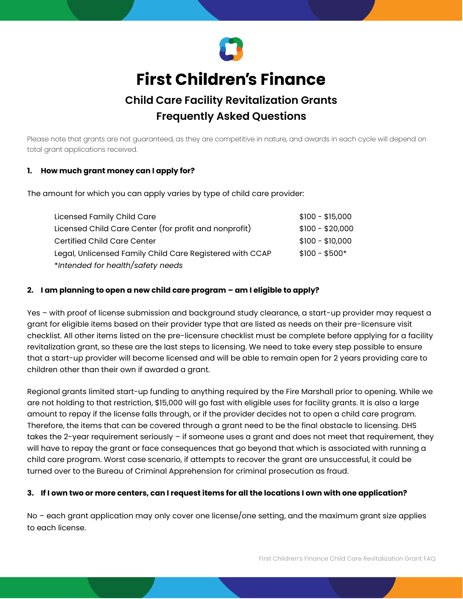

# **First Children's Finance**

# **Child Care Facility Revitalization Grants Frequently Asked Questions**

Please note that grants are not guaranteed, as they are competitive in nature, and awards in each cycle will depend on total grant applications received.

#### **1. How much grant money can I apply for?**

The amount for which you can apply varies by type of child care provider:

| Licensed Family Child Care                               | $$100 - $15,000$ |
|----------------------------------------------------------|------------------|
| Licensed Child Care Center (for profit and nonprofit)    | $$100 - $20,000$ |
| <b>Certified Child Care Center</b>                       | $$100 - $10,000$ |
| Legal, Unlicensed Family Child Care Registered with CCAP | $$100 - $500*$   |
| *Intended for health/safety needs                        |                  |

#### **2. I am planning to open a new child care program – am I eligible to apply?**

Yes – with proof of license submission and background study clearance, a start-up provider may request a grant for eligible items based on their provider type that are listed as needs on their pre-licensure visit checklist. All other items listed on the pre-licensure checklist must be complete before applying for a facility revitalization grant, so these are the last steps to licensing. We need to take every step possible to ensure that a start-up provider will become licensed and will be able to remain open for 2 years providing care to children other than their own if awarded a grant.

Regional grants limited start-up funding to anything required by the Fire Marshall prior to opening. While we are not holding to that restriction, \$15,000 will go fast with eligible uses for facility grants. It is also a large amount to repay if the license falls through, or if the provider decides not to open a child care program. Therefore, the items that can be covered through a grant need to be the final obstacle to licensing. DHS takes the 2-year requirement seriously – if someone uses a grant and does not meet that requirement, they will have to repay the grant or face consequences that go beyond that which is associated with running a child care program. Worst case scenario, if attempts to recover the grant are unsuccessful, it could be turned over to the Bureau of Criminal Apprehension for criminal prosecution as fraud.

#### **3. If I own two or more centers, can I request items for all the locations I own with one application?**

No – each grant application may only cover one license/one setting, and the maximum grant size applies to each license.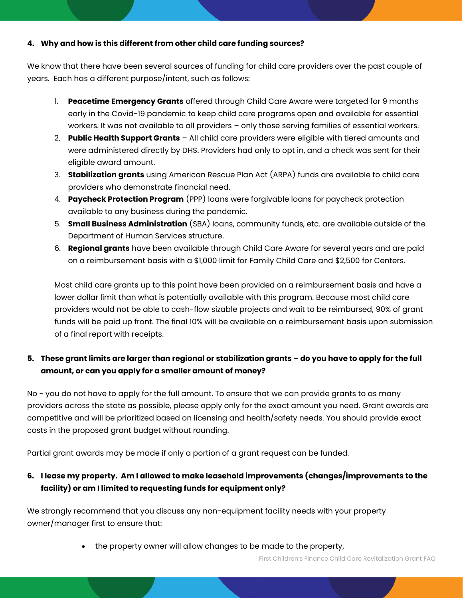#### **4. Why and how is this different from other child care funding sources?**

We know that there have been several sources of funding for child care providers over the past couple of years. Each has a different purpose/intent, such as follows:

- 1. **Peacetime Emergency Grants** offered through Child Care Aware were targeted for 9 months early in the Covid-19 pandemic to keep child care programs open and available for essential workers. It was not available to all providers – only those serving families of essential workers.
- 2. **Public Health Support Grants** All child care providers were eligible with tiered amounts and were administered directly by DHS. Providers had only to opt in, and a check was sent for their eligible award amount.
- 3. **Stabilization grants** using American Rescue Plan Act (ARPA) funds are available to child care providers who demonstrate financial need.
- 4. **Paycheck Protection Program** (PPP) loans were forgivable loans for paycheck protection available to any business during the pandemic.
- 5. **Small Business Administration** (SBA) loans, community funds, etc. are available outside of the Department of Human Services structure.
- 6. **Regional grants** have been available through Child Care Aware for several years and are paid on a reimbursement basis with a \$1,000 limit for Family Child Care and \$2,500 for Centers.

Most child care grants up to this point have been provided on a reimbursement basis and have a lower dollar limit than what is potentially available with this program. Because most child care providers would not be able to cash-flow sizable projects and wait to be reimbursed, 90% of grant funds will be paid up front. The final 10% will be available on a reimbursement basis upon submission of a final report with receipts.

# **5. These grant limits are larger than regional or stabilization grants – do you have to apply for the full amount, or can you apply for a smaller amount of money?**

No - you do not have to apply for the full amount. To ensure that we can provide grants to as many providers across the state as possible, please apply only for the exact amount you need. Grant awards are competitive and will be prioritized based on licensing and health/safety needs. You should provide exact costs in the proposed grant budget without rounding.

Partial grant awards may be made if only a portion of a grant request can be funded.

#### **6. I lease my property. Am I allowed to make leasehold improvements (changes/improvements to the facility) or am I limited to requesting funds for equipment only?**

We strongly recommend that you discuss any non-equipment facility needs with your property owner/manager first to ensure that:

• the property owner will allow changes to be made to the property,

First Children's Finance Child Care Revitalization Grant FAQ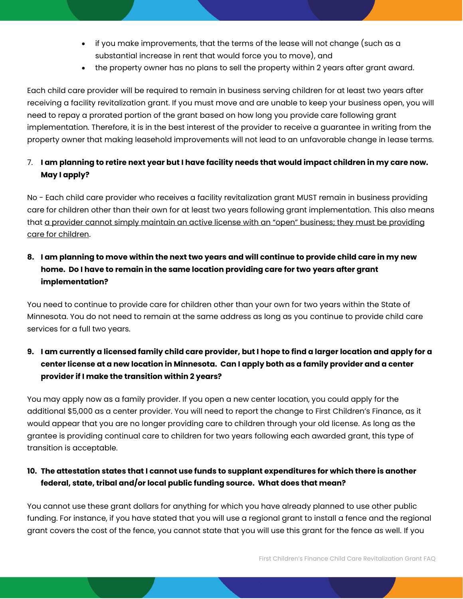- if you make improvements, that the terms of the lease will not change (such as a substantial increase in rent that would force you to move), and
- the property owner has no plans to sell the property within 2 years after grant award.

Each child care provider will be required to remain in business serving children for at least two years after receiving a facility revitalization grant. If you must move and are unable to keep your business open, you will need to repay a prorated portion of the grant based on how long you provide care following grant implementation. Therefore, it is in the best interest of the provider to receive a guarantee in writing from the property owner that making leasehold improvements will not lead to an unfavorable change in lease terms.

# 7. **I am planning to retire next year but I have facility needs that would impact children in my care now. May I apply?**

No - Each child care provider who receives a facility revitalization grant MUST remain in business providing care for children other than their own for at least two years following grant implementation. This also means that a provider cannot simply maintain an active license with an "open" business; they must be providing care for children.

# **8. I am planning to move within the next two years and will continue to provide child care in my new home. Do I have to remain in the same location providing care for two years after grant implementation?**

You need to continue to provide care for children other than your own for two years within the State of Minnesota. You do not need to remain at the same address as long as you continue to provide child care services for a full two years.

# **9. I am currently a licensed family child care provider, but I hope to find a larger location and apply for a center license at a new location in Minnesota. Can I apply both as a family provider and a center provider if I make the transition within 2 years?**

You may apply now as a family provider. If you open a new center location, you could apply for the additional \$5,000 as a center provider. You will need to report the change to First Children's Finance, as it would appear that you are no longer providing care to children through your old license. As long as the grantee is providing continual care to children for two years following each awarded grant, this type of transition is acceptable.

# **10. The attestation states that I cannot use funds to supplant expenditures for which there is another federal, state, tribal and/or local public funding source. What does that mean?**

You cannot use these grant dollars for anything for which you have already planned to use other public funding. For instance, if you have stated that you will use a regional grant to install a fence and the regional grant covers the cost of the fence, you cannot state that you will use this grant for the fence as well. If you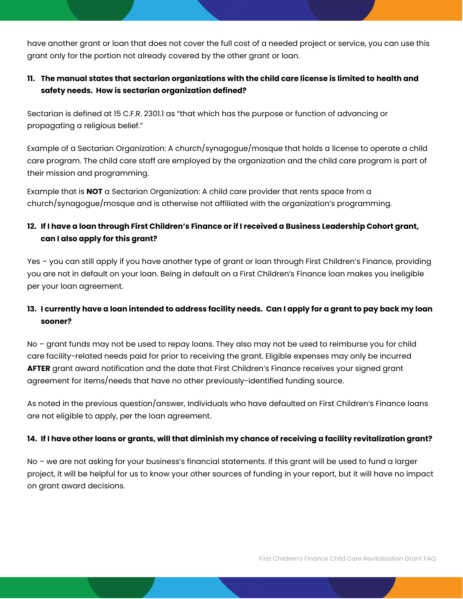have another grant or loan that does not cover the full cost of a needed project or service, you can use this grant only for the portion not already covered by the other grant or loan.

# **11. The manual states that sectarian organizations with the child care license is limited to health and safety needs. How is sectarian organization defined?**

Sectarian is defined at 15 C.F.R. 2301.1 as "that which has the purpose or function of advancing or propagating a religious belief."

Example of a Sectarian Organization: A church/synagogue/mosque that holds a license to operate a child care program. The child care staff are employed by the organization and the child care program is part of their mission and programming.

Example that is **NOT** a Sectarian Organization: A child care provider that rents space from a church/synagogue/mosque and is otherwise not affiliated with the organization's programming.

# **12. If I have a loan through First Children's Finance or if I received a Business Leadership Cohort grant, can I also apply for this grant?**

Yes – you can still apply if you have another type of grant or loan through First Children's Finance, providing you are not in default on your loan. Being in default on a First Children's Finance loan makes you ineligible per your loan agreement.

# **13. I currently have a loan intended to address facility needs. Can I apply for a grant to pay back my loan sooner?**

No – grant funds may not be used to repay loans. They also may not be used to reimburse you for child care facility-related needs paid for prior to receiving the grant. Eligible expenses may only be incurred **AFTER** grant award notification and the date that First Children's Finance receives your signed grant agreement for items/needs that have no other previously-identified funding source.

As noted in the previous question/answer, Individuals who have defaulted on First Children's Finance loans are not eligible to apply, per the loan agreement.

#### **14. If I have other loans or grants, will that diminish my chance of receiving a facility revitalization grant?**

No – we are not asking for your business's financial statements. If this grant will be used to fund a larger project, it will be helpful for us to know your other sources of funding in your report, but it will have no impact on grant award decisions.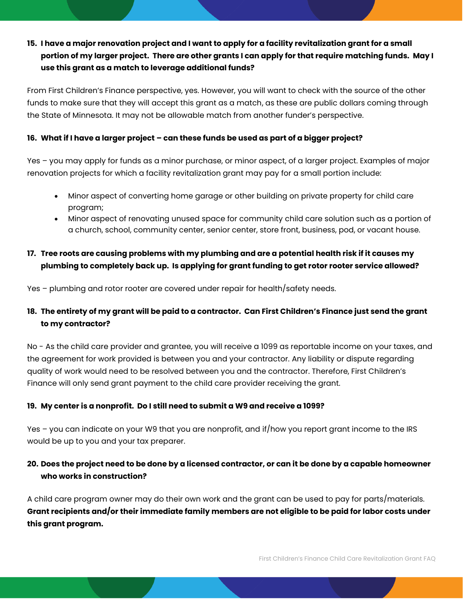# **15. I have a major renovation project and I want to apply for a facility revitalization grant for a small portion of my larger project. There are other grants I can apply for that require matching funds. May I use this grant as a match to leverage additional funds?**

From First Children's Finance perspective, yes. However, you will want to check with the source of the other funds to make sure that they will accept this grant as a match, as these are public dollars coming through the State of Minnesota. It may not be allowable match from another funder's perspective.

#### **16. What if I have a larger project – can these funds be used as part of a bigger project?**

Yes – you may apply for funds as a minor purchase, or minor aspect, of a larger project. Examples of major renovation projects for which a facility revitalization grant may pay for a small portion include:

- Minor aspect of converting home garage or other building on private property for child care program;
- Minor aspect of renovating unused space for community child care solution such as a portion of a church, school, community center, senior center, store front, business, pod, or vacant house.

#### **17. Tree roots are causing problems with my plumbing and are a potential health risk if it causes my plumbing to completely back up. Is applying for grant funding to get rotor rooter service allowed?**

Yes – plumbing and rotor rooter are covered under repair for health/safety needs.

# **18. The entirety of my grant will be paid to a contractor. Can First Children's Finance just send the grant to my contractor?**

No - As the child care provider and grantee, you will receive a 1099 as reportable income on your taxes, and the agreement for work provided is between you and your contractor. Any liability or dispute regarding quality of work would need to be resolved between you and the contractor. Therefore, First Children's Finance will only send grant payment to the child care provider receiving the grant.

#### **19. My center is a nonprofit. Do I still need to submit a W9 and receive a 1099?**

Yes – you can indicate on your W9 that you are nonprofit, and if/how you report grant income to the IRS would be up to you and your tax preparer.

#### **20. Does the project need to be done by a licensed contractor, or can it be done by a capable homeowner who works in construction?**

A child care program owner may do their own work and the grant can be used to pay for parts/materials. **Grant recipients and/or their immediate family members are not eligible to be paid for labor costs under this grant program.**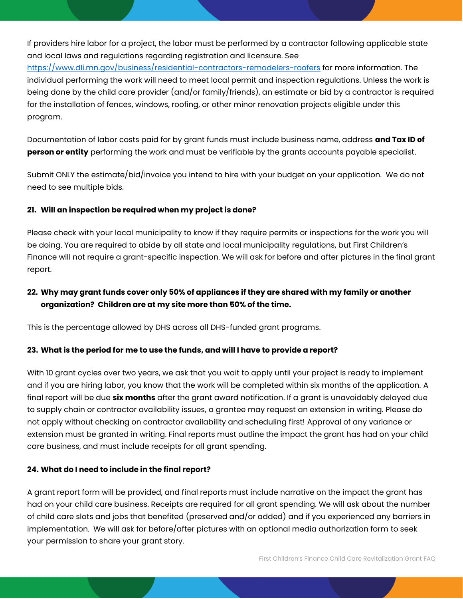If providers hire labor for a project, the labor must be performed by a contractor following applicable state and local laws and regulations regarding registration and licensure. See

[https://www.dli.mn.gov/business/residential-contractors-remodelers-roofers](https://nam10.safelinks.protection.outlook.com/?url=https%3A%2F%2Fwww.dli.mn.gov%2Fbusiness%2Fresidential-contractors-remodelers-roofers&data=04%7C01%7CPamC%40firstchildrensfinance.org%7C8867fdbe129348eb0cb108d9fc624495%7C0ae0e8590ef04f6283ac71635afec596%7C0%7C0%7C637818321259326763%7CUnknown%7CTWFpbGZsb3d8eyJWIjoiMC4wLjAwMDAiLCJQIjoiV2luMzIiLCJBTiI6Ik1haWwiLCJXVCI6Mn0%3D%7C3000&sdata=bFdyhxTPfJPjJyVbsrlnYKLKpphzIrNvG3xUtZW5x2c%3D&reserved=0) for more information. The individual performing the work will need to meet local permit and inspection regulations. Unless the work is being done by the child care provider (and/or family/friends), an estimate or bid by a contractor is required for the installation of fences, windows, roofing, or other minor renovation projects eligible under this program.

Documentation of labor costs paid for by grant funds must include business name, address **and Tax ID of person or entity** performing the work and must be verifiable by the grants accounts payable specialist.

Submit ONLY the estimate/bid/invoice you intend to hire with your budget on your application. We do not need to see multiple bids.

#### **21. Will an inspection be required when my project is done?**

Please check with your local municipality to know if they require permits or inspections for the work you will be doing. You are required to abide by all state and local municipality regulations, but First Children's Finance will not require a grant-specific inspection. We will ask for before and after pictures in the final grant report.

# **22. Why may grant funds cover only 50% of appliances if they are shared with my family or another organization? Children are at my site more than 50% of the time.**

This is the percentage allowed by DHS across all DHS-funded grant programs.

#### **23. What is the period for me to use the funds, and will I have to provide a report?**

With 10 grant cycles over two years, we ask that you wait to apply until your project is ready to implement and if you are hiring labor, you know that the work will be completed within six months of the application. A final report will be due **six months** after the grant award notification. If a grant is unavoidably delayed due to supply chain or contractor availability issues, a grantee may request an extension in writing. Please do not apply without checking on contractor availability and scheduling first! Approval of any variance or extension must be granted in writing. Final reports must outline the impact the grant has had on your child care business, and must include receipts for all grant spending.

#### **24. What do I need to include in the final report?**

A grant report form will be provided, and final reports must include narrative on the impact the grant has had on your child care business. Receipts are required for all grant spending. We will ask about the number of child care slots and jobs that benefited (preserved and/or added) and if you experienced any barriers in implementation. We will ask for before/after pictures with an optional media authorization form to seek your permission to share your grant story.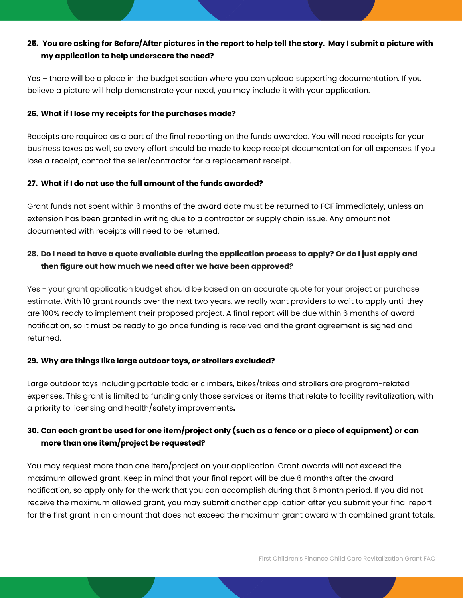#### **25. You are asking for Before/After pictures in the report to help tell the story. May I submit a picture with my application to help underscore the need?**

Yes – there will be a place in the budget section where you can upload supporting documentation. If you believe a picture will help demonstrate your need, you may include it with your application.

#### **26. What if I lose my receipts for the purchases made?**

Receipts are required as a part of the final reporting on the funds awarded. You will need receipts for your business taxes as well, so every effort should be made to keep receipt documentation for all expenses. If you lose a receipt, contact the seller/contractor for a replacement receipt.

#### **27. What if I do not use the full amount of the funds awarded?**

Grant funds not spent within 6 months of the award date must be returned to FCF immediately, unless an extension has been granted in writing due to a contractor or supply chain issue. Any amount not documented with receipts will need to be returned.

#### **28. Do I need to have a quote available during the application process to apply? Or do I just apply and then figure out how much we need after we have been approved?**

Yes - your grant application budget should be based on an accurate quote for your project or purchase estimate. With 10 grant rounds over the next two years, we really want providers to wait to apply until they are 100% ready to implement their proposed project. A final report will be due within 6 months of award notification, so it must be ready to go once funding is received and the grant agreement is signed and returned.

#### **29. Why are things like large outdoor toys, or strollers excluded?**

Large outdoor toys including portable toddler climbers, bikes/trikes and strollers are program-related expenses. This grant is limited to funding only those services or items that relate to facility revitalization, with a priority to licensing and health/safety improvements**.** 

# **30. Can each grant be used for one item/project only (such as a fence or a piece of equipment) or can more than one item/project be requested?**

You may request more than one item/project on your application. Grant awards will not exceed the maximum allowed grant. Keep in mind that your final report will be due 6 months after the award notification, so apply only for the work that you can accomplish during that 6 month period. If you did not receive the maximum allowed grant, you may submit another application after you submit your final report for the first grant in an amount that does not exceed the maximum grant award with combined grant totals.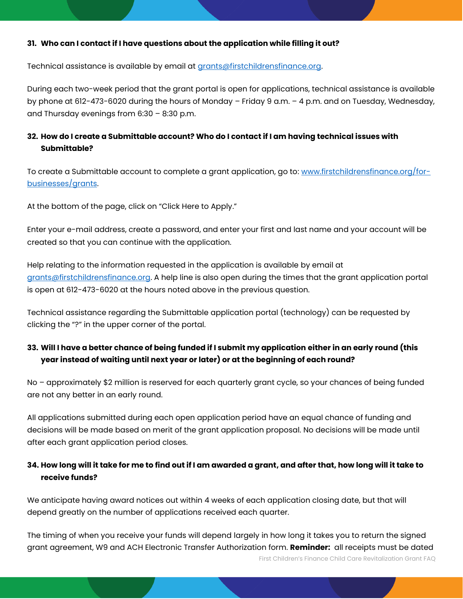#### **31. Who can I contact if I have questions about the application while filling it out?**

Technical assistance is available by email at [grants@firstchildrensfinance.org.](mailto:grants@firstchildrensfinance.org)

During each two-week period that the grant portal is open for applications, technical assistance is available by phone at 612-473-6020 during the hours of Monday – Friday 9 a.m. – 4 p.m. and on Tuesday, Wednesday, and Thursday evenings from 6:30 – 8:30 p.m.

#### **32. How do I create a Submittable account? Who do I contact if I am having technical issues with Submittable?**

To create a Submittable account to complete a grant application, go to: [www.firstchildrensfinance.org/for](http://www.firstchildrensfinance.org/for-businesses/grants)[businesses/grants.](http://www.firstchildrensfinance.org/for-businesses/grants)

At the bottom of the page, click on "Click Here to Apply."

Enter your e-mail address, create a password, and enter your first and last name and your account will be created so that you can continue with the application.

Help relating to the information requested in the application is available by email at [grants@firstchildrensfinance.org.](mailto:grants@firstchildrensfinance.org) A help line is also open during the times that the grant application portal is open at 612-473-6020 at the hours noted above in the previous question.

Technical assistance regarding the Submittable application portal (technology) can be requested by clicking the "?" in the upper corner of the portal.

#### **33. Will I have a better chance of being funded if I submit my application either in an early round (this year instead of waiting until next year or later) or at the beginning of each round?**

No – approximately \$2 million is reserved for each quarterly grant cycle, so your chances of being funded are not any better in an early round.

All applications submitted during each open application period have an equal chance of funding and decisions will be made based on merit of the grant application proposal. No decisions will be made until after each grant application period closes.

#### **34. How long will it take for me to find out if I am awarded a grant, and after that, how long will it take to receive funds?**

We anticipate having award notices out within 4 weeks of each application closing date, but that will depend greatly on the number of applications received each quarter.

First Children's Finance Child Care Revitalization Grant FAQ The timing of when you receive your funds will depend largely in how long it takes you to return the signed grant agreement, W9 and ACH Electronic Transfer Authorization form. **Reminder:** all receipts must be dated